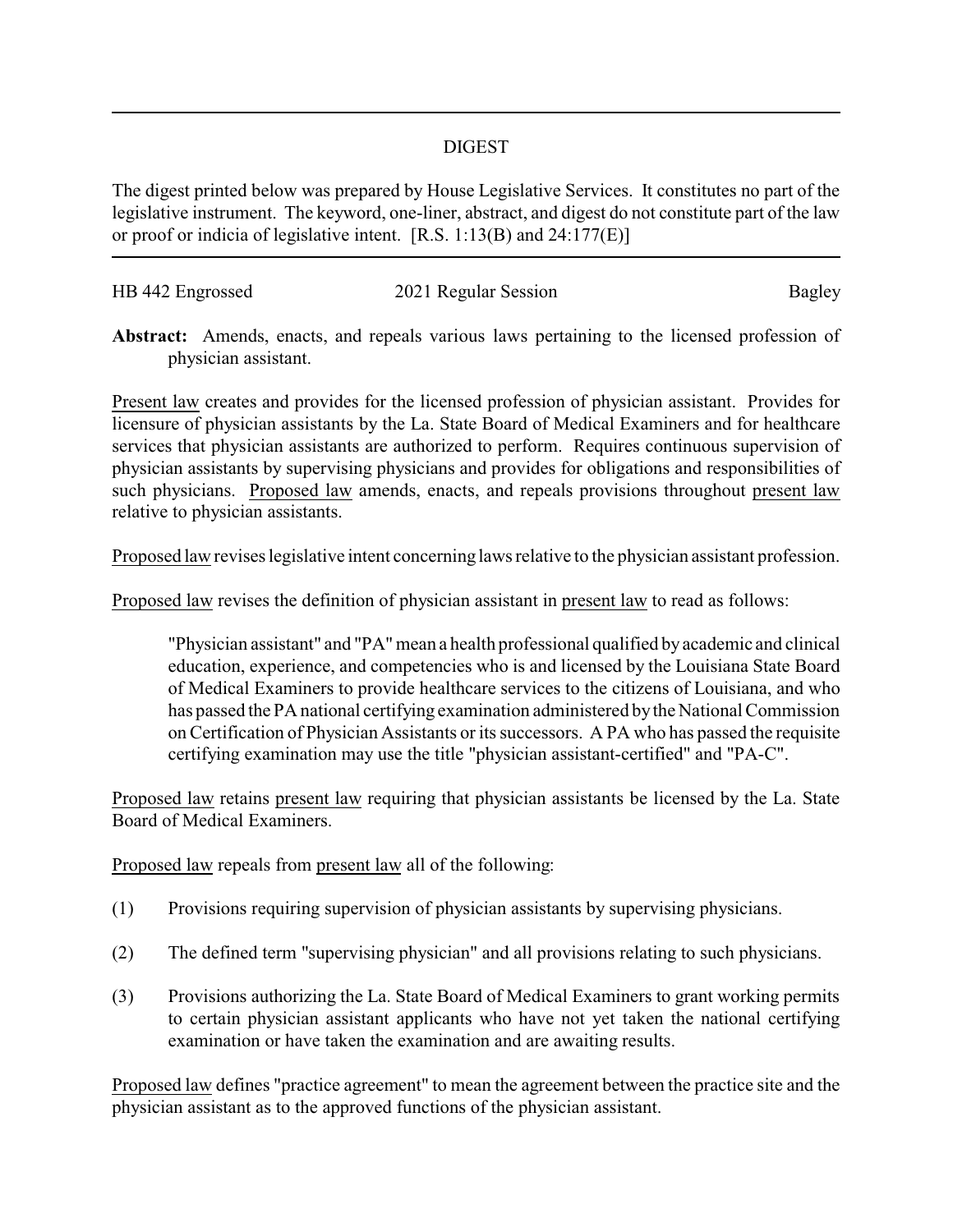## DIGEST

The digest printed below was prepared by House Legislative Services. It constitutes no part of the legislative instrument. The keyword, one-liner, abstract, and digest do not constitute part of the law or proof or indicia of legislative intent. [R.S. 1:13(B) and 24:177(E)]

| HB 442 Engrossed | 2021 Regular Session | Bagley |
|------------------|----------------------|--------|
|                  |                      |        |

**Abstract:** Amends, enacts, and repeals various laws pertaining to the licensed profession of physician assistant.

Present law creates and provides for the licensed profession of physician assistant. Provides for licensure of physician assistants by the La. State Board of Medical Examiners and for healthcare services that physician assistants are authorized to perform. Requires continuous supervision of physician assistants by supervising physicians and provides for obligations and responsibilities of such physicians. Proposed law amends, enacts, and repeals provisions throughout present law relative to physician assistants.

Proposed law revises legislative intent concerning laws relative to the physician assistant profession.

Proposed law revises the definition of physician assistant in present law to read as follows:

"Physician assistant" and "PA"mean a health professional qualified byacademic and clinical education, experience, and competencies who is and licensed by the Louisiana State Board of Medical Examiners to provide healthcare services to the citizens of Louisiana, and who has passed the PA national certifying examination administered bythe National Commission on Certification of Physician Assistants or its successors. A PA who has passed the requisite certifying examination may use the title "physician assistant-certified" and "PA-C".

Proposed law retains present law requiring that physician assistants be licensed by the La. State Board of Medical Examiners.

Proposed law repeals from present law all of the following:

- (1) Provisions requiring supervision of physician assistants by supervising physicians.
- (2) The defined term "supervising physician" and all provisions relating to such physicians.
- (3) Provisions authorizing the La. State Board of Medical Examiners to grant working permits to certain physician assistant applicants who have not yet taken the national certifying examination or have taken the examination and are awaiting results.

Proposed law defines "practice agreement" to mean the agreement between the practice site and the physician assistant as to the approved functions of the physician assistant.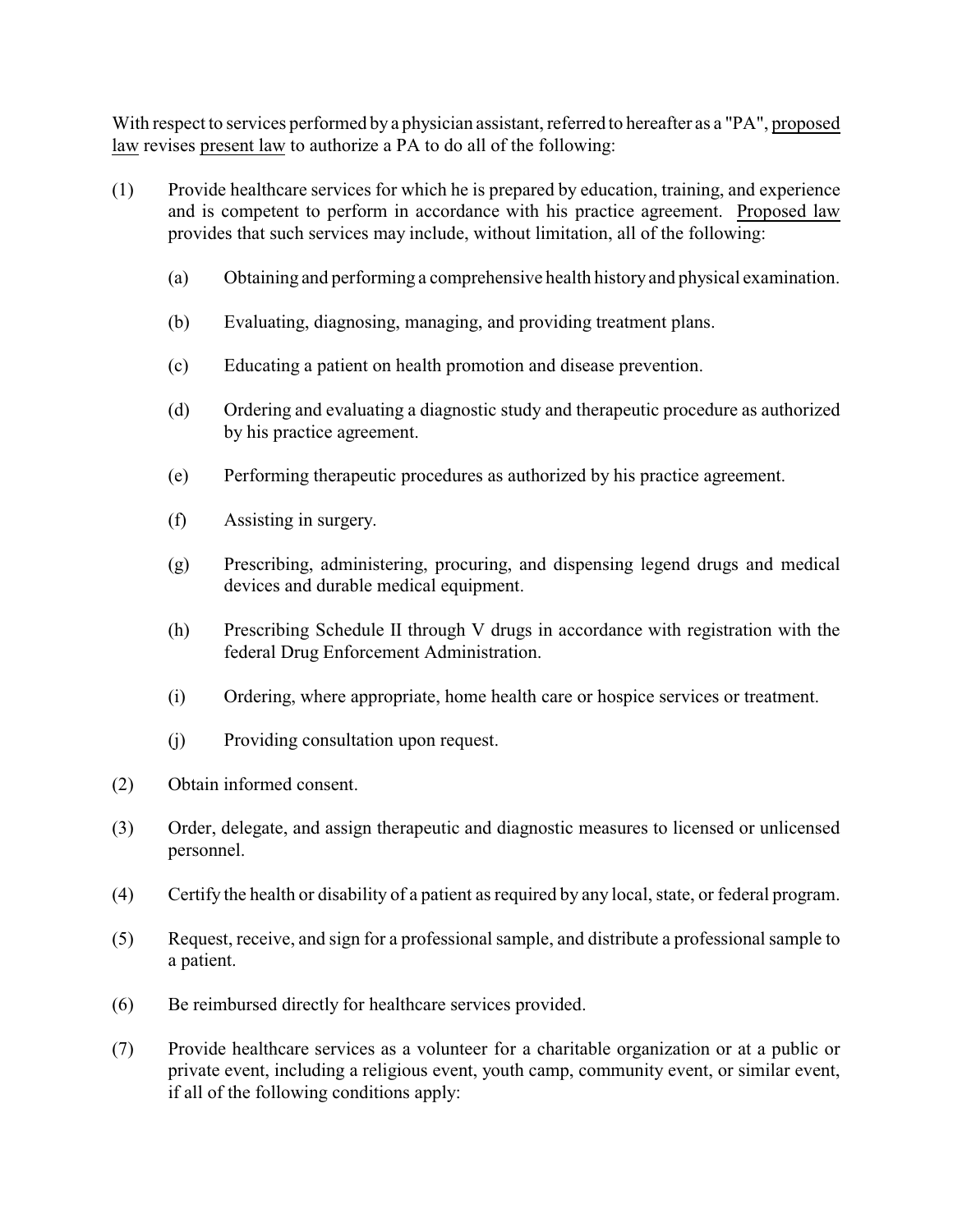With respect to services performed by a physician assistant, referred to hereafter as a "PA", proposed law revises present law to authorize a PA to do all of the following:

- (1) Provide healthcare services for which he is prepared by education, training, and experience and is competent to perform in accordance with his practice agreement. Proposed law provides that such services may include, without limitation, all of the following:
	- (a) Obtaining and performing a comprehensive health history and physical examination.
	- (b) Evaluating, diagnosing, managing, and providing treatment plans.
	- (c) Educating a patient on health promotion and disease prevention.
	- (d) Ordering and evaluating a diagnostic study and therapeutic procedure as authorized by his practice agreement.
	- (e) Performing therapeutic procedures as authorized by his practice agreement.
	- (f) Assisting in surgery.
	- (g) Prescribing, administering, procuring, and dispensing legend drugs and medical devices and durable medical equipment.
	- (h) Prescribing Schedule II through V drugs in accordance with registration with the federal Drug Enforcement Administration.
	- (i) Ordering, where appropriate, home health care or hospice services or treatment.
	- (j) Providing consultation upon request.
- (2) Obtain informed consent.
- (3) Order, delegate, and assign therapeutic and diagnostic measures to licensed or unlicensed personnel.
- (4) Certify the health or disability of a patient as required by any local, state, or federal program.
- (5) Request, receive, and sign for a professional sample, and distribute a professional sample to a patient.
- (6) Be reimbursed directly for healthcare services provided.
- (7) Provide healthcare services as a volunteer for a charitable organization or at a public or private event, including a religious event, youth camp, community event, or similar event, if all of the following conditions apply: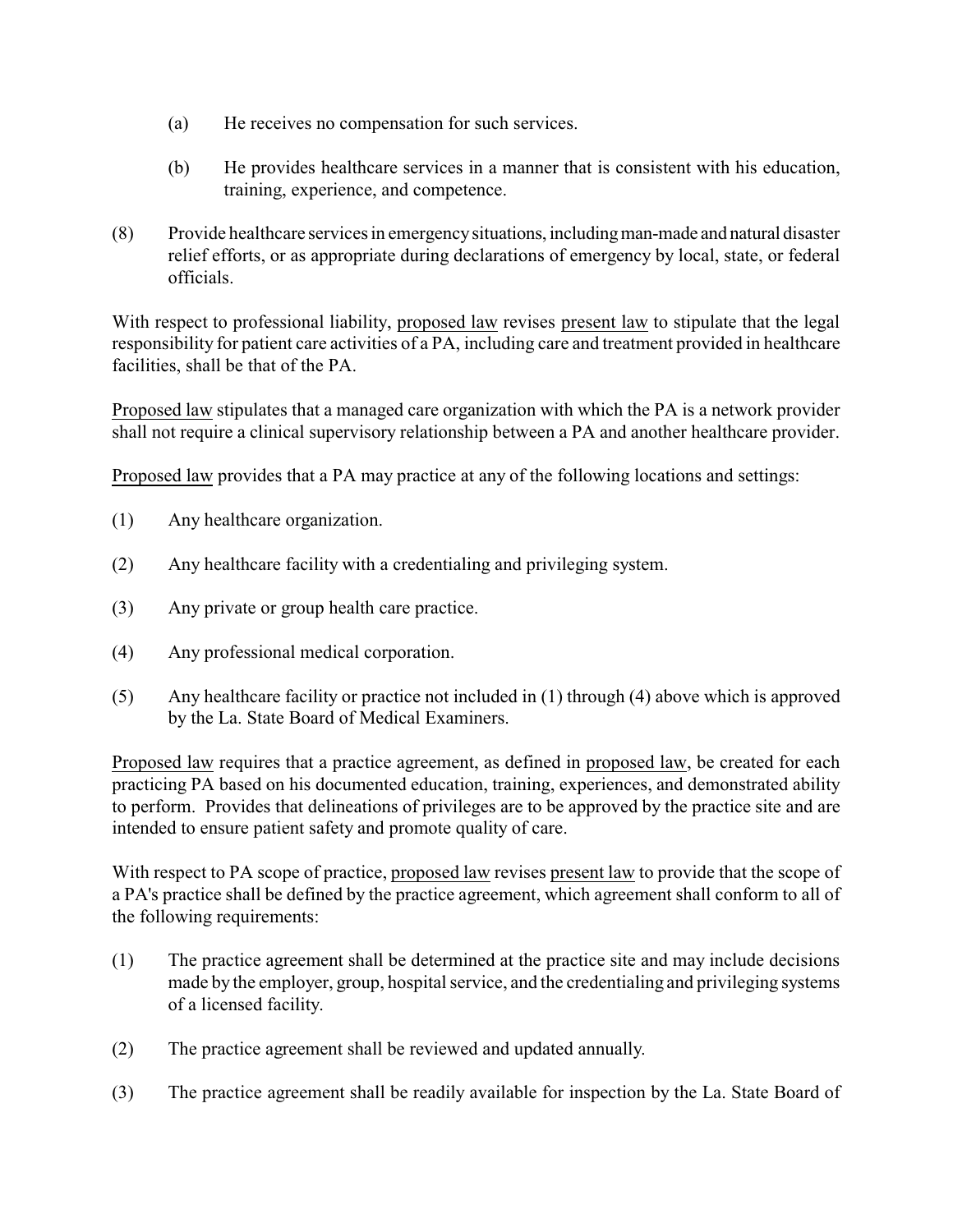- (a) He receives no compensation for such services.
- (b) He provides healthcare services in a manner that is consistent with his education, training, experience, and competence.
- (8) Provide healthcare services in emergencysituations, includingman-made and natural disaster relief efforts, or as appropriate during declarations of emergency by local, state, or federal officials.

With respect to professional liability, proposed law revises present law to stipulate that the legal responsibility for patient care activities of a PA, including care and treatment provided in healthcare facilities, shall be that of the PA.

Proposed law stipulates that a managed care organization with which the PA is a network provider shall not require a clinical supervisory relationship between a PA and another healthcare provider.

Proposed law provides that a PA may practice at any of the following locations and settings:

- (1) Any healthcare organization.
- (2) Any healthcare facility with a credentialing and privileging system.
- (3) Any private or group health care practice.
- (4) Any professional medical corporation.
- (5) Any healthcare facility or practice not included in (1) through (4) above which is approved by the La. State Board of Medical Examiners.

Proposed law requires that a practice agreement, as defined in proposed law, be created for each practicing PA based on his documented education, training, experiences, and demonstrated ability to perform. Provides that delineations of privileges are to be approved by the practice site and are intended to ensure patient safety and promote quality of care.

With respect to PA scope of practice, proposed law revises present law to provide that the scope of a PA's practice shall be defined by the practice agreement, which agreement shall conform to all of the following requirements:

- (1) The practice agreement shall be determined at the practice site and may include decisions made by the employer, group, hospital service, and the credentialing and privileging systems of a licensed facility.
- (2) The practice agreement shall be reviewed and updated annually.
- (3) The practice agreement shall be readily available for inspection by the La. State Board of